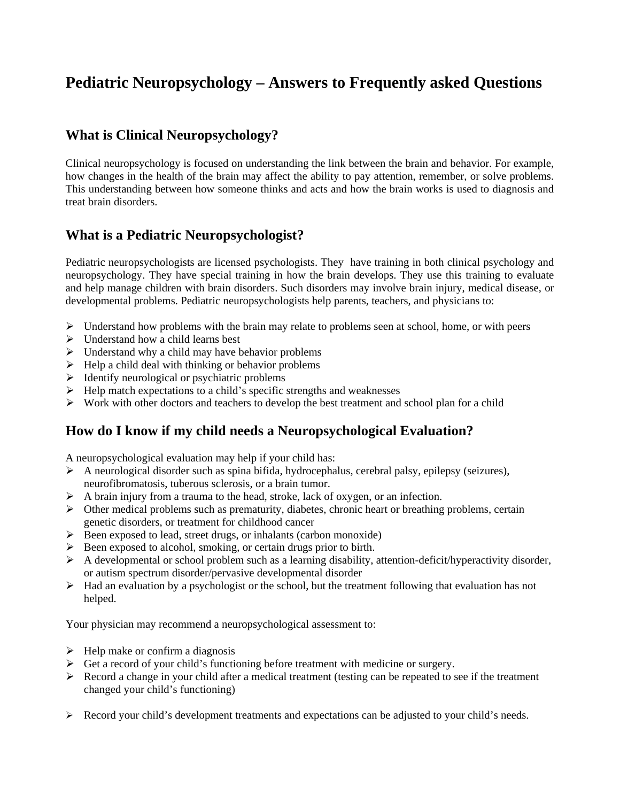# **Pediatric Neuropsychology – Answers to Frequently asked Questions**

### **What is Clinical Neuropsychology?**

Clinical neuropsychology is focused on understanding the link between the brain and behavior. For example, how changes in the health of the brain may affect the ability to pay attention, remember, or solve problems. This understanding between how someone thinks and acts and how the brain works is used to diagnosis and treat brain disorders.

### **What is a Pediatric Neuropsychologist?**

Pediatric neuropsychologists are licensed psychologists. They have training in both clinical psychology and neuropsychology. They have special training in how the brain develops. They use this training to evaluate and help manage children with brain disorders. Such disorders may involve brain injury, medical disease, or developmental problems. Pediatric neuropsychologists help parents, teachers, and physicians to:

- ¾ Understand how problems with the brain may relate to problems seen at school, home, or with peers
- $\triangleright$  Understand how a child learns best
- $\triangleright$  Understand why a child may have behavior problems
- $\blacktriangleright$  Help a child deal with thinking or behavior problems
- $\triangleright$  Identify neurological or psychiatric problems
- $\triangleright$  Help match expectations to a child's specific strengths and weaknesses
- $\triangleright$  Work with other doctors and teachers to develop the best treatment and school plan for a child

### **How do I know if my child needs a Neuropsychological Evaluation?**

A neuropsychological evaluation may help if your child has:

- $\triangleright$  A neurological disorder such as spina bifida, hydrocephalus, cerebral palsy, epilepsy (seizures), neurofibromatosis, tuberous sclerosis, or a brain tumor.
- $\triangleright$  A brain injury from a trauma to the head, stroke, lack of oxygen, or an infection.
- $\triangleright$  Other medical problems such as prematurity, diabetes, chronic heart or breathing problems, certain genetic disorders, or treatment for childhood cancer
- ¾ Been exposed to lead, street drugs, or inhalants (carbon monoxide)
- $\triangleright$  Been exposed to alcohol, smoking, or certain drugs prior to birth.
- $\triangleright$  A developmental or school problem such as a learning disability, attention-deficit/hyperactivity disorder, or autism spectrum disorder/pervasive developmental disorder
- $\triangleright$  Had an evaluation by a psychologist or the school, but the treatment following that evaluation has not helped.

Your physician may recommend a neuropsychological assessment to:

- $\blacktriangleright$  Help make or confirm a diagnosis
- $\triangleright$  Get a record of your child's functioning before treatment with medicine or surgery.
- $\triangleright$  Record a change in your child after a medical treatment (testing can be repeated to see if the treatment changed your child's functioning)
- $\triangleright$  Record your child's development treatments and expectations can be adjusted to your child's needs.